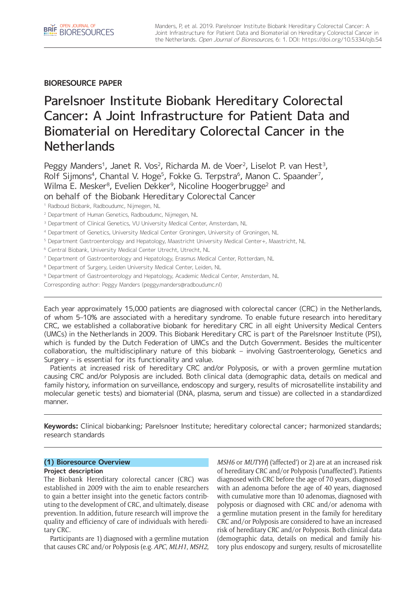**BIORESOURCE PAPER**

# Parelsnoer Institute Biobank Hereditary Colorectal Cancer: A Joint Infrastructure for Patient Data and Biomaterial on Hereditary Colorectal Cancer in the **Netherlands**

Peggy Manders<sup>1</sup>, Janet R. Vos<sup>2</sup>, Richarda M. de Voer<sup>2</sup>, Liselot P. van Hest<sup>3</sup>, Rolf Sijmons<sup>4</sup>, Chantal V. Hoge<sup>5</sup>, Fokke G. Terpstra<sup>6</sup>, Manon C. Spaander<sup>7</sup>, Wilma E. Mesker<sup>8</sup>, Evelien Dekker<sup>9</sup>, Nicoline Hoogerbrugge<sup>2</sup> and on behalf of the Biobank Hereditary Colorectal Cancer

<sup>1</sup> Radboud Biobank, Radboudumc, Nijmegen, NL

<sup>2</sup> Department of Human Genetics, Radboudumc, Nijmegen, NL

<sup>3</sup> Department of Clinical Genetics, VU University Medical Center, Amsterdam, NL

- <sup>4</sup> Department of Genetics, University Medical Center Groningen, University of Groningen, NL
- <sup>5</sup> Department Gastroenterology and Hepatology, Maastricht University Medical Center+, Maastricht, NL
- <sup>6</sup> Central Biobank, University Medical Center Utrecht, Utrecht, NL
- <sup>7</sup> Department of Gastroenterology and Hepatology, Erasmus Medical Center, Rotterdam, NL
- <sup>8</sup> Department of Surgery, Leiden University Medical Center, Leiden, NL
- <sup>9</sup> Department of Gastroenterology and Hepatology, Academic Medical Center, Amsterdam, NL

Corresponding author: Peggy Manders [\(peggy.manders@radboudumc.nl](mailto:peggy.manders@radboudumc.nl))

Each year approximately 15,000 patients are diagnosed with colorectal cancer (CRC) in the Netherlands, of whom 5–10% are associated with a hereditary syndrome. To enable future research into hereditary CRC, we established a collaborative biobank for hereditary CRC in all eight University Medical Centers (UMCs) in the Netherlands in 2009. This Biobank Hereditary CRC is part of the Parelsnoer Institute (PSI), which is funded by the Dutch Federation of UMCs and the Dutch Government. Besides the multicenter collaboration, the multidisciplinary nature of this biobank – involving Gastroenterology, Genetics and Surgery – is essential for its functionality and value.

Patients at increased risk of hereditary CRC and/or Polyposis, or with a proven germline mutation causing CRC and/or Polyposis are included. Both clinical data (demographic data, details on medical and family history, information on surveillance, endoscopy and surgery, results of microsatellite instability and molecular genetic tests) and biomaterial (DNA, plasma, serum and tissue) are collected in a standardized manner.

**Keywords:** Clinical biobanking; Parelsnoer Institute; hereditary colorectal cancer; harmonized standards; research standards

# **(1) Bioresource Overview**

# **Project description**

The Biobank Hereditary colorectal cancer (CRC) was established in 2009 with the aim to enable researchers to gain a better insight into the genetic factors contributing to the development of CRC, and ultimately, disease prevention. In addition, future research will improve the quality and efficiency of care of individuals with hereditary CRC.

Participants are 1) diagnosed with a germline mutation that causes CRC and/or Polyposis (e.g. *APC*, *MLH1*, *MSH2*, *MSH6* or *MUTYH*) ('affected') or 2) are at an increased risk of hereditary CRC and/or Polyposis ('unaffected'). Patients diagnosed with CRC before the age of 70 years, diagnosed with an adenoma before the age of 40 years, diagnosed with cumulative more than 10 adenomas, diagnosed with polyposis or diagnosed with CRC and/or adenoma with a germline mutation present in the family for hereditary CRC and/or Polyposis are considered to have an increased risk of hereditary CRC and/or Polyposis. Both clinical data (demographic data, details on medical and family history plus endoscopy and surgery, results of microsatellite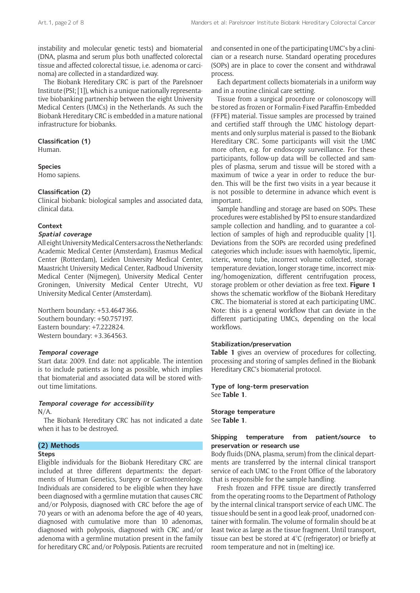instability and molecular genetic tests) and biomaterial (DNA, plasma and serum plus both unaffected colorectal tissue and affected colorectal tissue, i.e. adenoma or carcinoma) are collected in a standardized way.

The Biobank Hereditary CRC is part of the Parelsnoer Institute (PSI; [1]), which is a unique nationally representative biobanking partnership between the eight University Medical Centers (UMCs) in the Netherlands. As such the Biobank Hereditary CRC is embedded in a mature national infrastructure for biobanks.

# **Classification (1)**

Human.

## **Species**

Homo sapiens.

#### **Classification (2)**

Clinical biobank: biological samples and associated data, clinical data.

#### **Context**

# **Spatial coverage**

All eight University Medical Centers across the Netherlands: Academic Medical Center (Amsterdam), Erasmus Medical Center (Rotterdam), Leiden University Medical Center, Maastricht University Medical Center, Radboud University Medical Center (Nijmegen), University Medical Center Groningen, University Medical Center Utrecht, VU University Medical Center (Amsterdam).

Northern boundary: +53.4647366. Southern boundary: +50.757197. Eastern boundary: +7.222824. Western boundary: +3.364563.

#### **Temporal coverage**

Start data: 2009. End date: not applicable. The intention is to include patients as long as possible, which implies that biomaterial and associated data will be stored without time limitations.

#### **Temporal coverage for accessibility**

N/A.

The Biobank Hereditary CRC has not indicated a date when it has to be destroyed.

# **(2) Methods**

#### **Steps**

Eligible individuals for the Biobank Hereditary CRC are included at three different departments: the departments of Human Genetics, Surgery or Gastroenterology. Individuals are considered to be eligible when they have been diagnosed with a germline mutation that causes CRC and/or Polyposis, diagnosed with CRC before the age of 70 years or with an adenoma before the age of 40 years, diagnosed with cumulative more than 10 adenomas, diagnosed with polyposis, diagnosed with CRC and/or adenoma with a germline mutation present in the family for hereditary CRC and/or Polyposis. Patients are recruited

and consented in one of the participating UMC's by a clinician or a research nurse. Standard operating procedures (SOPs) are in place to cover the consent and withdrawal process.

Each department collects biomaterials in a uniform way and in a routine clinical care setting.

Tissue from a surgical procedure or colonoscopy will be stored as frozen or Formalin-Fixed Paraffin-Embedded (FFPE) material. Tissue samples are processed by trained and certified staff through the UMC histology departments and only surplus material is passed to the Biobank Hereditary CRC. Some participants will visit the UMC more often, e.g. for endoscopy surveillance. For these participants, follow-up data will be collected and samples of plasma, serum and tissue will be stored with a maximum of twice a year in order to reduce the burden. This will be the first two visits in a year because it is not possible to determine in advance which event is important.

Sample handling and storage are based on SOPs. These procedures were established by PSI to ensure standardized sample collection and handling, and to guarantee a collection of samples of high and reproducible quality [1]. Deviations from the SOPs are recorded using predefined categories which include: issues with haemolytic, lipemic, icteric, wrong tube, incorrect volume collected, storage temperature deviation, longer storage time, incorrect mixing/homogenization, different centrifugation process, storage problem or other deviation as free text. **Figure 1** shows the schematic workflow of the Biobank Hereditary CRC. The biomaterial is stored at each participating UMC. Note: this is a general workflow that can deviate in the different participating UMCs, depending on the local workflows.

#### **Stabilization/preservation**

**Table 1** gives an overview of procedures for collecting, processing and storing of samples defined in the Biobank Hereditary CRC's biomaterial protocol.

**Type of long-term preservation** See **Table 1**.

**Storage temperature** See **Table 1**.

# **Shipping temperature from patient/source to preservation or research use**

Body fluids (DNA, plasma, serum) from the clinical departments are transferred by the internal clinical transport service of each UMC to the Front Office of the laboratory that is responsible for the sample handling.

Fresh frozen and FFPE tissue are directly transferred from the operating rooms to the Department of Pathology by the internal clinical transport service of each UMC. The tissue should be sent in a good leak-proof, unadorned container with formalin. The volume of formalin should be at least twice as large as the tissue fragment. Until transport, tissue can best be stored at 4°C (refrigerator) or briefly at room temperature and not in (melting) ice.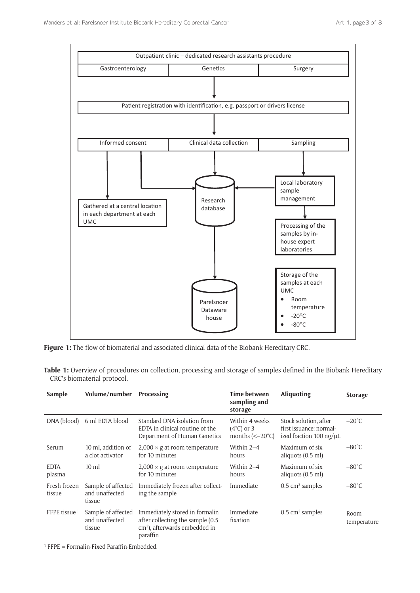

**Figure 1:** The flow of biomaterial and associated clinical data of the Biobank Hereditary CRC.

| Table 1: Overview of procedures on collection, processing and storage of samples defined in the Biobank Hereditary |  |  |  |  |
|--------------------------------------------------------------------------------------------------------------------|--|--|--|--|
| CRC's biomaterial protocol.                                                                                        |  |  |  |  |

| Sample                   | Volume/number                                  | Processing                                                                                                                  | Time between<br>sampling and<br>storage                                                 | Aliquoting                                                                                     | <b>Storage</b>      |
|--------------------------|------------------------------------------------|-----------------------------------------------------------------------------------------------------------------------------|-----------------------------------------------------------------------------------------|------------------------------------------------------------------------------------------------|---------------------|
| DNA (blood)              | 6 ml EDTA blood                                | Standard DNA isolation from<br>EDTA in clinical routine of the<br>Department of Human Genetics                              | Within 4 weeks<br>$(4^{\circ}C)$ or 3<br>months $\left(\leq -20^{\circ}\text{C}\right)$ | Stock solution, after<br>first issuance: normal-<br>ized fraction $100 \text{ ng/}\mu\text{L}$ | $-20^{\circ}$ C     |
| Serum                    | 10 ml, addition of<br>a clot activator         | $2,000 \times$ g at room temperature<br>for 10 minutes                                                                      | Within $2-4$<br>hours                                                                   | Maximum of six<br>aliquots (0.5 ml)                                                            | $-80^{\circ}$ C     |
| <b>EDTA</b><br>plasma    | $10 \text{ ml}$                                | $2,000 \times g$ at room temperature<br>for 10 minutes                                                                      | Within 2-4<br>hours                                                                     | Maximum of six<br>aliquots $(0.5 \text{ ml})$                                                  | $-80^{\circ}$ C     |
| Fresh frozen<br>tissue   | Sample of affected<br>and unaffected<br>tissue | Immediately frozen after collect-<br>ing the sample                                                                         | Immediate                                                                               | $0.5 \text{ cm}^3$ samples                                                                     | $-80^{\circ}$ C     |
| FFPE tissue <sup>1</sup> | Sample of affected<br>and unaffected<br>tissue | Immediately stored in formalin<br>after collecting the sample (0.5<br>cm <sup>3</sup> ), afterwards embedded in<br>paraffin | Immediate<br>fixation                                                                   | $0.5 \text{ cm}^3$ samples                                                                     | Room<br>temperature |

1 FFPE = Formalin-Fixed Paraffin-Embedded.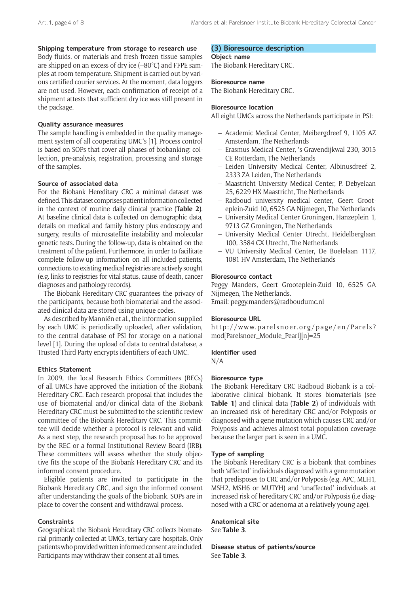# **Shipping temperature from storage to research use**

Body fluids, or materials and fresh frozen tissue samples are shipped on an excess of dry ice (–80°C) and FFPE samples at room temperature. Shipment is carried out by various certified courier services. At the moment, data loggers are not used. However, each confirmation of receipt of a shipment attests that sufficient dry ice was still present in the package.

#### **Quality assurance measures**

The sample handling is embedded in the quality management system of all cooperating UMC's [1]. Process control is based on SOPs that cover all phases of biobanking: collection, pre-analysis, registration, processing and storage of the samples.

### **Source of associated data**

For the Biobank Hereditary CRC a minimal dataset was defined. This dataset comprises patient information collected in the context of routine daily clinical practice (**Table 2**). At baseline clinical data is collected on demographic data, details on medical and family history plus endoscopy and surgery, results of microsatellite instability and molecular genetic tests. During the follow-up, data is obtained on the treatment of the patient. Furthermore, in order to facilitate complete follow-up information on all included patients, connections to existing medical registries are actively sought (e.g. links to registries for vital status, cause of death, cancer diagnoses and pathology records).

The Biobank Hereditary CRC guarantees the privacy of the participants, because both biomaterial and the associated clinical data are stored using unique codes.

As described by Manniën et al., the information supplied by each UMC is periodically uploaded, after validation, to the central database of PSI for storage on a national level [1]. During the upload of data to central database, a Trusted Third Party encrypts identifiers of each UMC.

#### **Ethics Statement**

In 2009, the local Research Ethics Committees (RECs) of all UMCs have approved the initiation of the Biobank Hereditary CRC. Each research proposal that includes the use of biomaterial and/or clinical data of the Biobank Hereditary CRC must be submitted to the scientific review committee of the Biobank Hereditary CRC. This committee will decide whether a protocol is relevant and valid. As a next step, the research proposal has to be approved by the REC or a formal Institutional Review Board (IRB). These committees will assess whether the study objective fits the scope of the Biobank Hereditary CRC and its informed consent procedure.

Eligible patients are invited to participate in the Biobank Hereditary CRC, and sign the informed consent after understanding the goals of the biobank. SOPs are in place to cover the consent and withdrawal process.

#### **Constraints**

Geographical: the Biobank Hereditary CRC collects biomaterial primarily collected at UMCs, tertiary care hospitals. Only patients who provided written informed consent are included. Participants may withdraw their consent at all times.

## **(3) Bioresource description**

**Object name**

The Biobank Hereditary CRC.

#### **Bioresource name**

The Biobank Hereditary CRC.

## **Bioresource location**

All eight UMCs across the Netherlands participate in PSI:

- Academic Medical Center, Meibergdreef 9, 1105 AZ Amsterdam, The Netherlands
- Erasmus Medical Center, 's-Gravendijkwal 230, 3015 CE Rotterdam, The Netherlands
- Leiden University Medical Center, Albinusdreef 2, 2333 ZA Leiden, The Netherlands
- Maastricht University Medical Center, P. Debyelaan 25, 6229 HX Maastricht, The Netherlands
- Radboud university medical center, Geert Grooteplein-Zuid 10, 6525 GA Nijmegen, The Netherlands
- University Medical Center Groningen, Hanzeplein 1, 9713 GZ Groningen, The Netherlands
- University Medical Center Utrecht, Heidelberglaan 100, 3584 CX Utrecht, The Netherlands
- VU University Medical Center, De Boelelaan 1117, 1081 HV Amsterdam, The Netherlands

#### **Bioresource contact**

Peggy Manders, Geert Grooteplein-Zuid 10, 6525 GA Nijmegen, The Netherlands. Email: [peggy.manders@radboudumc.nl](mailto:peggy.manders@radboudumc.nl)

# **Bioresource URL**

[http://www.parelsnoer.org/page/en/Parels?](http://www.parelsnoer.org/page/en/Parels?mod[Parelsnoer_Module_Pearl][n]=25) [mod\[Parelsnoer\\_Module\\_Pearl\]\[n\]=25](http://www.parelsnoer.org/page/en/Parels?mod[Parelsnoer_Module_Pearl][n]=25)

# **Identifier used**

N/A

# **Bioresource type**

The Biobank Hereditary CRC Radboud Biobank is a collaborative clinical biobank. It stores biomaterials (see **Table 1**) and clinical data (**Table 2**) of individuals with an increased risk of hereditary CRC and/or Polyposis or diagnosed with a gene mutation which causes CRC and/or Polyposis and achieves almost total population coverage because the larger part is seen in a UMC.

## **Type of sampling**

The Biobank Hereditary CRC is a biobank that combines both 'affected' individuals diagnosed with a gene mutation that predisposes to CRC and/or Polyposis (e.g. APC, MLH1, MSH2, MSH6 or MUTYH) and 'unaffected' individuals at increased risk of hereditary CRC and/or Polyposis (i.e diagnosed with a CRC or adenoma at a relatively young age).

**Anatomical site** See **Table 3**.

**Disease status of patients/source** See **Table 3**.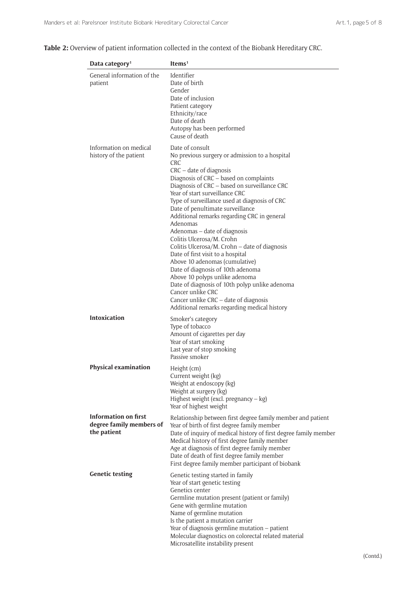|  | Table 2: Overview of patient information collected in the context of the Biobank Hereditary CRC. |  |
|--|--------------------------------------------------------------------------------------------------|--|
|--|--------------------------------------------------------------------------------------------------|--|

| Data category <sup>1</sup>                                             | Items $1$                                                                                                                                                                                                                                                                                                                                                                                                                                                                                                                                                                                                                                                                                                                                                                                                   |
|------------------------------------------------------------------------|-------------------------------------------------------------------------------------------------------------------------------------------------------------------------------------------------------------------------------------------------------------------------------------------------------------------------------------------------------------------------------------------------------------------------------------------------------------------------------------------------------------------------------------------------------------------------------------------------------------------------------------------------------------------------------------------------------------------------------------------------------------------------------------------------------------|
| General information of the<br>patient                                  | Identifier<br>Date of birth<br>Gender<br>Date of inclusion<br>Patient category<br>Ethnicity/race<br>Date of death<br>Autopsy has been performed<br>Cause of death                                                                                                                                                                                                                                                                                                                                                                                                                                                                                                                                                                                                                                           |
| Information on medical<br>history of the patient                       | Date of consult<br>No previous surgery or admission to a hospital<br>CRC<br>CRC – date of diagnosis<br>Diagnosis of CRC - based on complaints<br>Diagnosis of CRC - based on surveillance CRC<br>Year of start surveillance CRC<br>Type of surveillance used at diagnosis of CRC<br>Date of penultimate surveillance<br>Additional remarks regarding CRC in general<br>Adenomas<br>Adenomas – date of diagnosis<br>Colitis Ulcerosa/M. Crohn<br>Colitis Ulcerosa/M. Crohn - date of diagnosis<br>Date of first visit to a hospital<br>Above 10 adenomas (cumulative)<br>Date of diagnosis of 10th adenoma<br>Above 10 polyps unlike adenoma<br>Date of diagnosis of 10th polyp unlike adenoma<br>Cancer unlike CRC<br>Cancer unlike CRC - date of diagnosis<br>Additional remarks regarding medical history |
| <b>Intoxication</b>                                                    | Smoker's category<br>Type of tobacco<br>Amount of cigarettes per day<br>Year of start smoking<br>Last year of stop smoking<br>Passive smoker                                                                                                                                                                                                                                                                                                                                                                                                                                                                                                                                                                                                                                                                |
| <b>Physical examination</b>                                            | Height (cm)<br>Current weight (kg)<br>Weight at endoscopy (kg)<br>Weight at surgery (kg)<br>Highest weight (excl. pregnancy $-$ kg)<br>Year of highest weight                                                                                                                                                                                                                                                                                                                                                                                                                                                                                                                                                                                                                                               |
| <b>Information on first</b><br>degree family members of<br>the patient | Relationship between first degree family member and patient<br>Year of birth of first degree family member<br>Date of inquiry of medical history of first degree family member<br>Medical history of first degree family member<br>Age at diagnosis of first degree family member<br>Date of death of first degree family member<br>First degree family member participant of biobank                                                                                                                                                                                                                                                                                                                                                                                                                       |
| <b>Genetic testing</b>                                                 | Genetic testing started in family<br>Year of start genetic testing<br>Genetics center<br>Germline mutation present (patient or family)<br>Gene with germline mutation<br>Name of germline mutation<br>Is the patient a mutation carrier<br>Year of diagnosis germline mutation - patient<br>Molecular diagnostics on colorectal related material<br>Microsatellite instability present                                                                                                                                                                                                                                                                                                                                                                                                                      |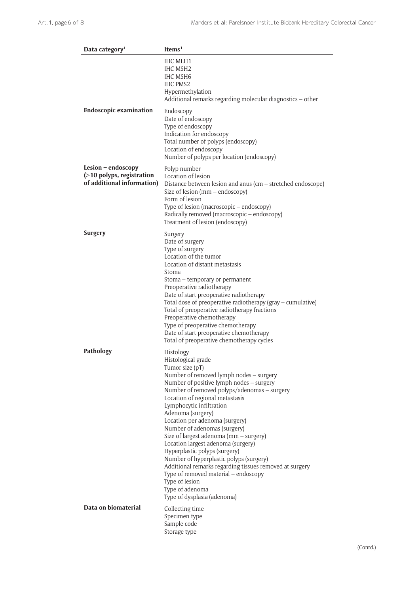| Data category <sup>1</sup>                                                      | Items <sup>1</sup>                                                                                                                                                                                                                                                                                                                                                                                                                                                                                                                                                                                                                                                                |
|---------------------------------------------------------------------------------|-----------------------------------------------------------------------------------------------------------------------------------------------------------------------------------------------------------------------------------------------------------------------------------------------------------------------------------------------------------------------------------------------------------------------------------------------------------------------------------------------------------------------------------------------------------------------------------------------------------------------------------------------------------------------------------|
|                                                                                 | IHC MLH1<br>IHC MSH <sub>2</sub><br>IHC MSH6<br><b>IHC PMS2</b><br>Hypermethylation<br>Additional remarks regarding molecular diagnostics - other                                                                                                                                                                                                                                                                                                                                                                                                                                                                                                                                 |
| <b>Endoscopic examination</b>                                                   | Endoscopy<br>Date of endoscopy<br>Type of endoscopy<br>Indication for endoscopy<br>Total number of polyps (endoscopy)<br>Location of endoscopy<br>Number of polyps per location (endoscopy)                                                                                                                                                                                                                                                                                                                                                                                                                                                                                       |
| Lesion $-$ endoscopy<br>(>10 polyps, registration<br>of additional information) | Polyp number<br>Location of lesion<br>Distance between lesion and anus (cm - stretched endoscope)<br>Size of lesion $(mm - endoscopy)$<br>Form of lesion<br>Type of lesion (macroscopic - endoscopy)<br>Radically removed (macroscopic – endoscopy)<br>Treatment of lesion (endoscopy)                                                                                                                                                                                                                                                                                                                                                                                            |
| <b>Surgery</b>                                                                  | Surgery<br>Date of surgery<br>Type of surgery<br>Location of the tumor<br>Location of distant metastasis<br>Stoma<br>Stoma – temporary or permanent<br>Preoperative radiotherapy<br>Date of start preoperative radiotherapy<br>Total dose of preoperative radiotherapy (gray - cumulative)<br>Total of preoperative radiotherapy fractions<br>Preoperative chemotherapy<br>Type of preoperative chemotherapy<br>Date of start preoperative chemotherapy<br>Total of preoperative chemotherapy cycles                                                                                                                                                                              |
| Pathology                                                                       | Histology<br>Histological grade<br>Tumor size (pT)<br>Number of removed lymph nodes - surgery<br>Number of positive lymph nodes - surgery<br>Number of removed polyps/adenomas - surgery<br>Location of regional metastasis<br>Lymphocytic infiltration<br>Adenoma (surgery)<br>Location per adenoma (surgery)<br>Number of adenomas (surgery)<br>Size of largest adenoma (mm - surgery)<br>Location largest adenoma (surgery)<br>Hyperplastic polyps (surgery)<br>Number of hyperplastic polyps (surgery)<br>Additional remarks regarding tissues removed at surgery<br>Type of removed material - endoscopy<br>Type of lesion<br>Type of adenoma<br>Type of dysplasia (adenoma) |
| Data on biomaterial                                                             | Collecting time<br>Specimen type<br>Sample code<br>Storage type                                                                                                                                                                                                                                                                                                                                                                                                                                                                                                                                                                                                                   |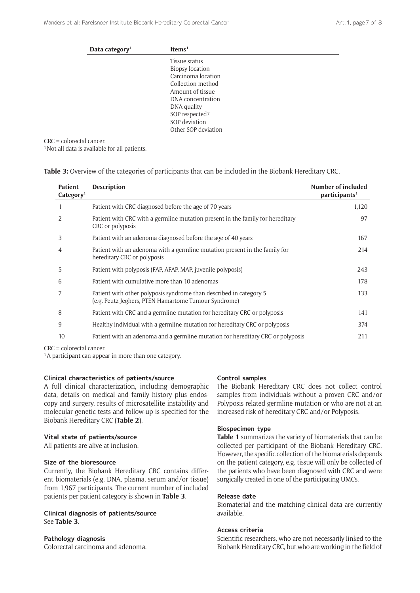| Data category <sup>1</sup> | Items <sup>1</sup>     |
|----------------------------|------------------------|
|                            | Tissue status          |
|                            | <b>Biopsy location</b> |
|                            | Carcinoma location     |
|                            | Collection method      |
|                            | Amount of tissue       |
|                            | DNA concentration      |
|                            | DNA quality            |
|                            | SOP respected?         |
|                            | SOP deviation          |
|                            | Other SOP deviation    |

CRC = colorectal cancer.

<sup>1</sup> Not all data is available for all patients.

| Table 3: Overview of the categories of participants that can be included in the Biobank Hereditary CRC. |  |
|---------------------------------------------------------------------------------------------------------|--|
|---------------------------------------------------------------------------------------------------------|--|

| <b>Patient</b><br>Categorical | <b>Description</b>                                                                                                         | <b>Number of included</b><br>participants <sup>1</sup> |
|-------------------------------|----------------------------------------------------------------------------------------------------------------------------|--------------------------------------------------------|
|                               | Patient with CRC diagnosed before the age of 70 years                                                                      | 1,120                                                  |
| 2                             | Patient with CRC with a germline mutation present in the family for hereditary<br>CRC or polyposis                         | 97                                                     |
| 3                             | Patient with an adenoma diagnosed before the age of 40 years                                                               | 167                                                    |
| 4                             | Patient with an adenoma with a germline mutation present in the family for<br>hereditary CRC or polyposis                  | 214                                                    |
| 5                             | Patient with polyposis (FAP, AFAP, MAP, juvenile polyposis)                                                                | 243                                                    |
| 6                             | Patient with cumulative more than 10 adenomas                                                                              | 178                                                    |
| 7                             | Patient with other polyposis syndrome than described in category 5<br>(e.g. Peutz Jeghers, PTEN Hamartome Tumour Syndrome) | 133                                                    |
| 8                             | Patient with CRC and a germline mutation for hereditary CRC or polyposis                                                   | 141                                                    |
| 9                             | Healthy individual with a germline mutation for hereditary CRC or polyposis                                                | 374                                                    |
| 10                            | Patient with an adenoma and a germline mutation for hereditary CRC or polyposis                                            | 211                                                    |

CRC = colorectal cancer.

<sup>1</sup>A participant can appear in more than one category.

#### **Clinical characteristics of patients/source**

A full clinical characterization, including demographic data, details on medical and family history plus endoscopy and surgery, results of microsatellite instability and molecular genetic tests and follow-up is specified for the Biobank Hereditary CRC (**Table 2**).

#### **Vital state of patients/source**

All patients are alive at inclusion.

## **Size of the bioresource**

Currently, the Biobank Hereditary CRC contains different biomaterials (e.g. DNA, plasma, serum and/or tissue) from 1,967 participants. The current number of included patients per patient category is shown in **Table 3**.

# **Clinical diagnosis of patients/source** See **Table 3**.

#### **Pathology diagnosis**

Colorectal carcinoma and adenoma.

#### **Control samples**

The Biobank Hereditary CRC does not collect control samples from individuals without a proven CRC and/or Polyposis related germline mutation or who are not at an increased risk of hereditary CRC and/or Polyposis.

#### **Biospecimen type**

**Table 1** summarizes the variety of biomaterials that can be collected per participant of the Biobank Hereditary CRC. However, the specific collection of the biomaterials depends on the patient category, e.g. tissue will only be collected of the patients who have been diagnosed with CRC and were surgically treated in one of the participating UMCs.

# **Release date**

Biomaterial and the matching clinical data are currently available.

#### **Access criteria**

Scientific researchers, who are not necessarily linked to the Biobank Hereditary CRC, but who are working in the field of